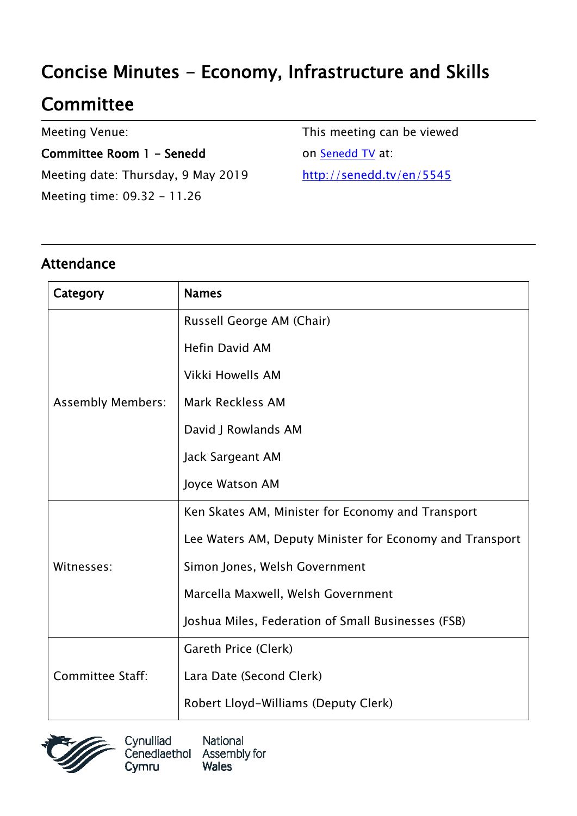# Concise Minutes - Economy, Infrastructure and Skills

# **Committee**

Meeting Venue:

Committee Room 1 - Senedd Meeting date: Thursday, 9 May 2019 Meeting time: 09.32 - 11.26

This meeting can be viewed on [Senedd TV](http://senedd.tv/) at: http://senedd.tv/en/5545

### Attendance

| Category                 | <b>Names</b>                                             |
|--------------------------|----------------------------------------------------------|
| <b>Assembly Members:</b> | Russell George AM (Chair)                                |
|                          | <b>Hefin David AM</b>                                    |
|                          | Vikki Howells AM                                         |
|                          | Mark Reckless AM                                         |
|                          | David J Rowlands AM                                      |
|                          | Jack Sargeant AM                                         |
|                          | Joyce Watson AM                                          |
| Witnesses:               | Ken Skates AM, Minister for Economy and Transport        |
|                          | Lee Waters AM, Deputy Minister for Economy and Transport |
|                          | Simon Jones, Welsh Government                            |
|                          | Marcella Maxwell, Welsh Government                       |
|                          | Joshua Miles, Federation of Small Businesses (FSB)       |
| <b>Committee Staff:</b>  | Gareth Price (Clerk)                                     |
|                          | Lara Date (Second Clerk)                                 |
|                          | Robert Lloyd-Williams (Deputy Clerk)                     |



Cynulliad National Cenedlaethol Assembly for Cymru **Wales**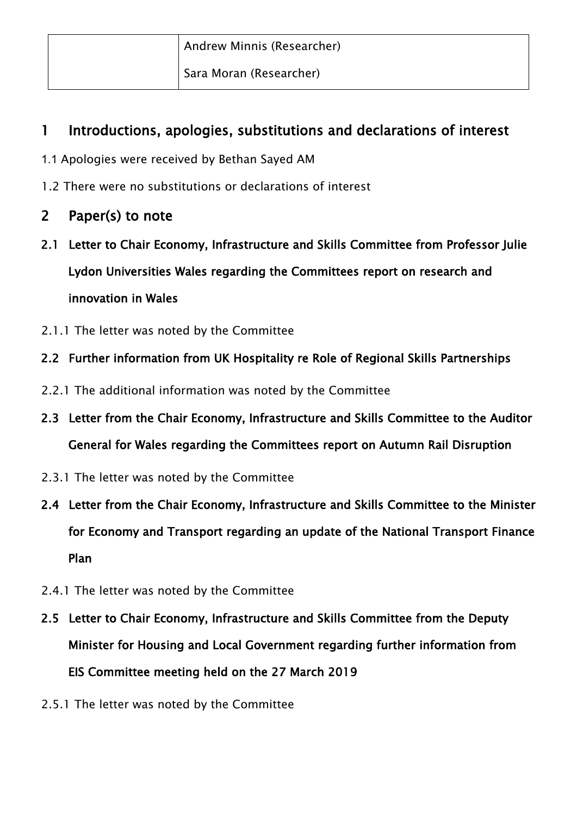| Andrew Minnis (Researcher) |
|----------------------------|
| Sara Moran (Researcher)    |

#### 1 Introductions, apologies, substitutions and declarations of interest

- 1.1 Apologies were received by Bethan Sayed AM
- 1.2 There were no substitutions or declarations of interest

#### 2 Paper(s) to note

- 2.1 Letter to Chair Economy, Infrastructure and Skills Committee from Professor Julie Lydon Universities Wales regarding the Committees report on research and innovation in Wales
- 2.1.1 The letter was noted by the Committee

#### 2.2 Further information from UK Hospitality re Role of Regional Skills Partnerships

- 2.2.1 The additional information was noted by the Committee
- 2.3 Letter from the Chair Economy, Infrastructure and Skills Committee to the Auditor General for Wales regarding the Committees report on Autumn Rail Disruption
- 2.3.1 The letter was noted by the Committee
- 2.4 Letter from the Chair Economy, Infrastructure and Skills Committee to the Minister for Economy and Transport regarding an update of the National Transport Finance Plan
- 2.4.1 The letter was noted by the Committee
- 2.5 Letter to Chair Economy, Infrastructure and Skills Committee from the Deputy Minister for Housing and Local Government regarding further information from EIS Committee meeting held on the 27 March 2019
- 2.5.1 The letter was noted by the Committee